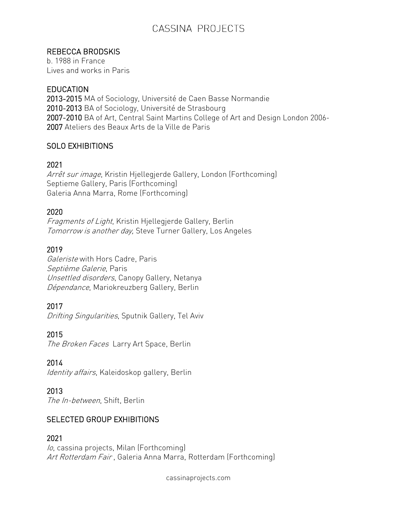# CASSINA PROJECTS

### REBECCA BRODSKIS

b. 1988 in France Lives and works in Paris

#### **EDUCATION**

2013-2015 MA of Sociology, Université de Caen Basse Normandie 2010-2013 BA of Sociology, Université de Strasbourg 2007-2010 BA of Art, Central Saint Martins College of Art and Design London 2006- 2007 Ateliers des Beaux Arts de la Ville de Paris

# SOLO EXHIBITIONS

### 2021

Arrêt sur image, Kristin Hjellegjerde Gallery, London (Forthcoming) Septieme Gallery, Paris (Forthcoming) Galeria Anna Marra, Rome (Forthcoming)

### 2020

Fragments of Light, Kristin Hjellegjerde Gallery, Berlin Tomorrow is another day, Steve Turner Gallery, Los Angeles

### 2019

Galeriste with Hors Cadre, Paris Septième Galerie, Paris Unsettled disorders, Canopy Gallery, Netanya Dépendance, Mariokreuzberg Gallery, Berlin

# 2017

Drifting Singularities, Sputnik Gallery, Tel Aviv

#### 2015

The Broken Faces Larry Art Space, Berlin

#### 2014

Identity affairs, Kaleidoskop gallery, Berlin

#### 2013

The In-between, Shift, Berlin

# SELECTED GROUP EXHIBITIONS

#### 2021

lo, cassina projects, Milan (Forthcoming) Art Rotterdam Fair, Galeria Anna Marra, Rotterdam (Forthcoming)

cassinaprojects.com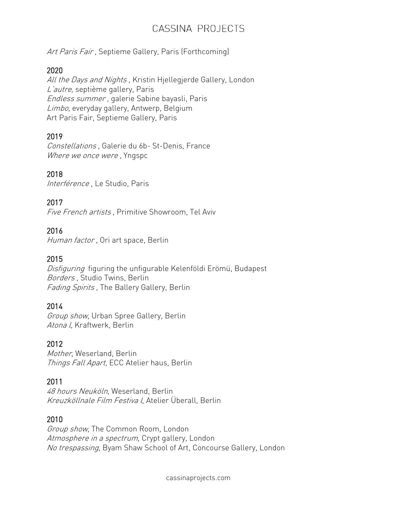# CASSINA PROJECTS

Art Paris Fair, Septieme Gallery, Paris (Forthcoming)

#### 2020

All the Days and Nights, Kristin Hjellegjerde Gallery, London L'autre, septième gallery, Paris Endless summer , galerie Sabine bayasli, Paris Limbo, everyday gallery, Antwerp, Belgium Art Paris Fair, Septieme Gallery, Paris

### 2019

Constellations , Galerie du 6b- St-Denis, France Where we once were, Yngspc

### 2018

Interférence, Le Studio, Paris

#### 2017

Five French artists , Primitive Showroom, Tel Aviv

### 2016

Human factor, Ori art space, Berlin

### 2015

Disfiguring figuring the unfigurable Kelenföldi Erömü, Budapest Borders , Studio Twins, Berlin Fading Spirits, The Ballery Gallery, Berlin

#### 2014

Group show, Urban Spree Gallery, Berlin Atona I, Kraftwerk, Berlin

# 2012

Mother, Weserland, Berlin Things Fall Apart, ECC Atelier haus, Berlin

# 2011

48 hours Neuköln, Weserland, Berlin Kreuzköllnale Film Festiva l, Atelier Überall, Berlin

#### 2010

Group show, The Common Room, London Atmosphere in a spectrum, Crypt gallery, London No trespassing, Byam Shaw School of Art, Concourse Gallery, London

cassinaprojects.com